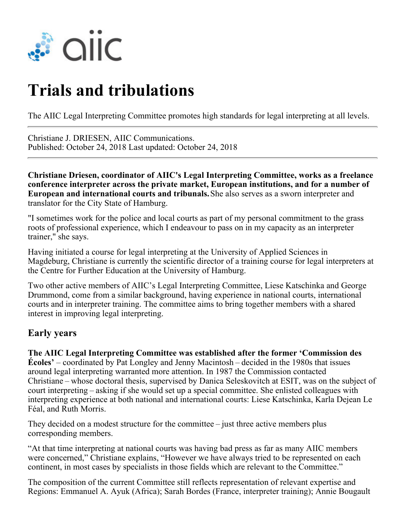

# **Trials and tribulations**

The AIIC Legal Interpreting Committee promotes high standards for legal interpreting at all levels.

Christiane J. DRIESEN, AIIC Communications. Published: October 24, 2018 Last updated: October 24, 2018

**Christiane Driesen, coordinator of AIIC's Legal Interpreting Committee, works as a freelance conference interpreter across the private market, European institutions, and for a number of European and international courts and tribunals.** She also serves as a sworn interpreter and translator for the City State of Hamburg.

"I sometimes work for the police and local courts as part of my personal commitment to the grass roots of professional experience, which I endeavour to pass on in my capacity as an interpreter trainer," she says.

Having initiated a course for legal interpreting at the University of Applied Sciences in Magdeburg, Christiane is currently the scientific director of a training course for legal interpreters at the Centre for Further Education at the University of Hamburg.

Two other active members of AIIC's Legal Interpreting Committee, Liese Katschinka and George Drummond, come from a similar background, having experience in national courts, international courts and in interpreter training. The committee aims to bring together members with a shared interest in improving legal interpreting.

### **Early years**

**The AIIC Legal Interpreting Committee was established after the former 'Commission des Écoles'** – coordinated by Pat Longley and Jenny Macintosh – decided in the 1980s that issues around legal interpreting warranted more attention. In 1987 the Commission contacted Christiane – whose doctoral thesis, supervised by Danica Seleskovitch at ESIT, was on the subject of court interpreting – asking if she would set up a special committee. She enlisted colleagues with interpreting experience at both national and international courts: Liese Katschinka, Karla Dejean Le Féal, and Ruth Morris.

They decided on a modest structure for the committee  $-$  just three active members plus corresponding members.

"At that time interpreting at national courts was having bad press as far as many AIIC members were concerned," Christiane explains, "However we have always tried to be represented on each continent, in most cases by specialists in those fields which are relevant to the Committee."

The composition of the current Committee still reflects representation of relevant expertise and Regions: Emmanuel A. Ayuk (Africa); Sarah Bordes (France, interpreter training); Annie Bougault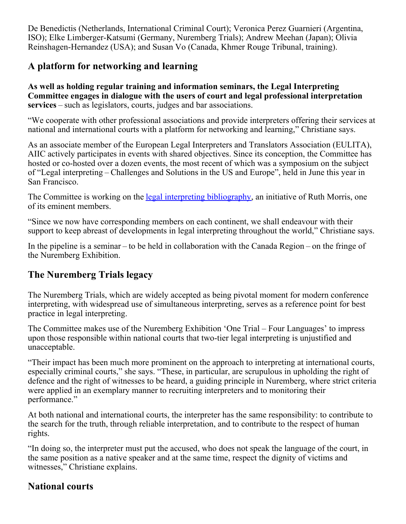De Benedictis (Netherlands, International Criminal Court); Veronica Perez Guarnieri (Argentina, ISO); Elke Limberger-Katsumi (Germany, Nuremberg Trials); Andrew Meehan (Japan); Olivia Reinshagen-Hernandez (USA); and Susan Vo (Canada, Khmer Rouge Tribunal, training).

## **A platform for networking and learning**

**As well as holding regular training and information seminars, the Legal Interpreting Committee engages in dialogue with the users of court and legal professional interpretation services**– such as legislators, courts, judges and bar associations.

"We cooperate with other professional associations and provide interpreters offering their services at national and international courts with a platform for networking and learning," Christiane says.

As an associate member of the European Legal Interpreters and Translators Association (EULITA), AIIC actively participates in events with shared objectives. Since its conception, the Committee has hosted or co-hosted over a dozen events, the most recent of which was a symposium on the subject of "Legal interpreting – Challenges and Solutions in the US and Europe", held in June this year in San Francisco.

The Committee is working on the <u>legal interpreting bibliography</u>, an initiative of Ruth Morris, one of its eminent members.

"Since we now have corresponding members on each continent, we shall endeavour with their support to keep abreast of developments in legal interpreting throughout the world," Christiane says.

In the pipeline is a seminar – to be held in collaboration with the Canada Region – on the fringe of the Nuremberg Exhibition.

# **The Nuremberg Trials legacy**

The Nuremberg Trials, which are widely accepted as being pivotal moment for modern conference interpreting, with widespread use of simultaneous interpreting, serves as a reference point for best practice in legal interpreting.

The Committee makes use of the Nuremberg Exhibition 'One Trial – Four Languages' to impress upon those responsible within national courts that two-tier legal interpreting is unjustified and unacceptable.

"Their impact has been much more prominent on the approach to interpreting at international courts, especially criminal courts," she says. "These, in particular, are scrupulous in upholding the right of defence and the right of witnesses to be heard, a guiding principle in Nuremberg, where strict criteria were applied in an exemplary manner to recruiting interpreters and to monitoring their performance."

At both national and international courts, the interpreter has the same responsibility: to contribute to the search for the truth, through reliable interpretation, and to contribute to the respect of human rights.

"In doing so, the interpreter must put the accused, who does not speak the language of the court, in the same position as a native speaker and at the same time, respect the dignity of victims and witnesses," Christiane explains.

## **National courts**